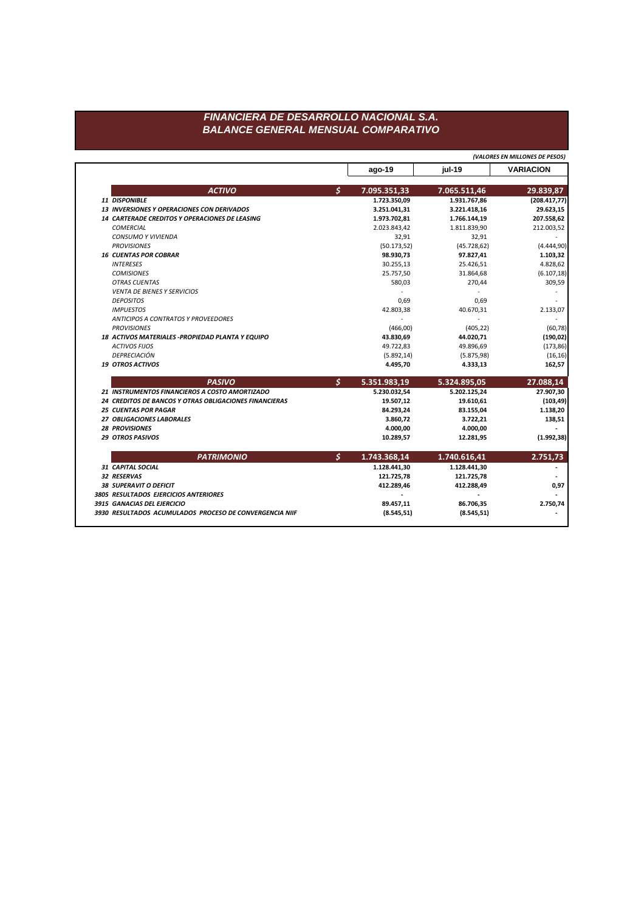## FINANCIERA DE DESARROLLO NACIONAL S.A. **BALANCE GENERAL MENSUAL COMPARATIVO**

(VALORES EN MILLONES DE PESOS)

|                                                        | $ago-19$                      | jul-19       | <b>VARIACION</b> |
|--------------------------------------------------------|-------------------------------|--------------|------------------|
|                                                        |                               |              |                  |
| <b>ACTIVO</b>                                          | \$<br>7.095.351,33            | 7.065.511,46 | 29.839,87        |
| 11 DISPONIBLE                                          | 1.723.350,09                  | 1.931.767,86 | (208.417, 77)    |
| <b>13 INVERSIONES Y OPERACIONES CON DERIVADOS</b>      | 3.251.041,31                  | 3.221.418,16 | 29.623,15        |
| 14 CARTERADE CREDITOS Y OPERACIONES DE LEASING         | 1.973.702,81                  | 1.766.144,19 | 207.558,62       |
| <b>COMERCIAL</b>                                       | 2.023.843,42                  | 1.811.839,90 | 212.003,52       |
| <b>CONSUMO Y VIVIENDA</b>                              | 32,91                         | 32,91        |                  |
| <b>PROVISIONES</b>                                     | (50.173, 52)                  | (45.728, 62) | (4.444, 90)      |
| <b>16 CUENTAS POR COBRAR</b>                           | 98.930,73                     | 97.827,41    | 1.103,32         |
| <b>INTERESES</b>                                       | 30.255,13                     | 25.426,51    | 4.828,62         |
| <b>COMISIONES</b>                                      | 25.757,50                     | 31.864,68    | (6.107, 18)      |
| <b>OTRAS CUENTAS</b>                                   | 580,03                        | 270,44       | 309,59           |
| <b>VENTA DE BIENES Y SERVICIOS</b>                     |                               |              |                  |
| <b>DEPOSITOS</b>                                       | 0,69                          | 0,69         |                  |
| <b>IMPUESTOS</b>                                       | 42.803,38                     | 40.670,31    | 2.133,07         |
| ANTICIPOS A CONTRATOS Y PROVEEDORES                    |                               |              |                  |
| <b>PROVISIONES</b>                                     | (466,00)                      | (405, 22)    | (60, 78)         |
| 18 ACTIVOS MATERIALES - PROPIEDAD PLANTA Y EQUIPO      | 43.830,69                     | 44.020,71    | (190, 02)        |
| <b>ACTIVOS FIJOS</b>                                   | 49.722,83                     | 49.896,69    | (173, 86)        |
| DEPRECIACIÓN                                           | (5.892, 14)                   | (5.875, 98)  | (16, 16)         |
| <b>19 OTROS ACTIVOS</b>                                | 4.495,70                      | 4.333,13     | 162,57           |
| <b>PASIVO</b>                                          | $\mathcal{S}$<br>5.351.983,19 | 5.324.895,05 | 27.088,14        |
| 21 INSTRUMENTOS FINANCIEROS A COSTO AMORTIZADO         | 5.230.032,54                  | 5.202.125,24 | 27.907,30        |
| 24 CREDITOS DE BANCOS Y OTRAS OBLIGACIONES FINANCIERAS | 19.507,12                     | 19.610,61    | (103, 49)        |
| <b>25 CUENTAS POR PAGAR</b>                            | 84.293,24                     | 83.155,04    | 1.138,20         |
| 27 OBLIGACIONES LABORALES                              | 3.860,72                      | 3.722,21     | 138,51           |
| <b>28 PROVISIONES</b>                                  | 4.000,00                      | 4.000,00     |                  |
| <b>29 OTROS PASIVOS</b>                                | 10.289,57                     | 12.281,95    | (1.992, 38)      |
| <b>PATRIMONIO</b>                                      | \$<br>1.743.368,14            | 1.740.616,41 | 2.751,73         |
| <b>31 CAPITAL SOCIAL</b>                               | 1.128.441,30                  | 1.128.441,30 |                  |
| 32 RESERVAS                                            | 121.725,78                    | 121.725,78   |                  |
| <b>38 SUPERAVIT O DEFICIT</b>                          | 412.289,46                    | 412.288,49   | 0,97             |
| 3805 RESULTADOS EJERCICIOS ANTERIORES                  |                               |              |                  |
|                                                        |                               |              |                  |
| 3915 GANACIAS DEL EJERCICIO                            | 89.457,11                     | 86.706,35    | 2.750,74         |